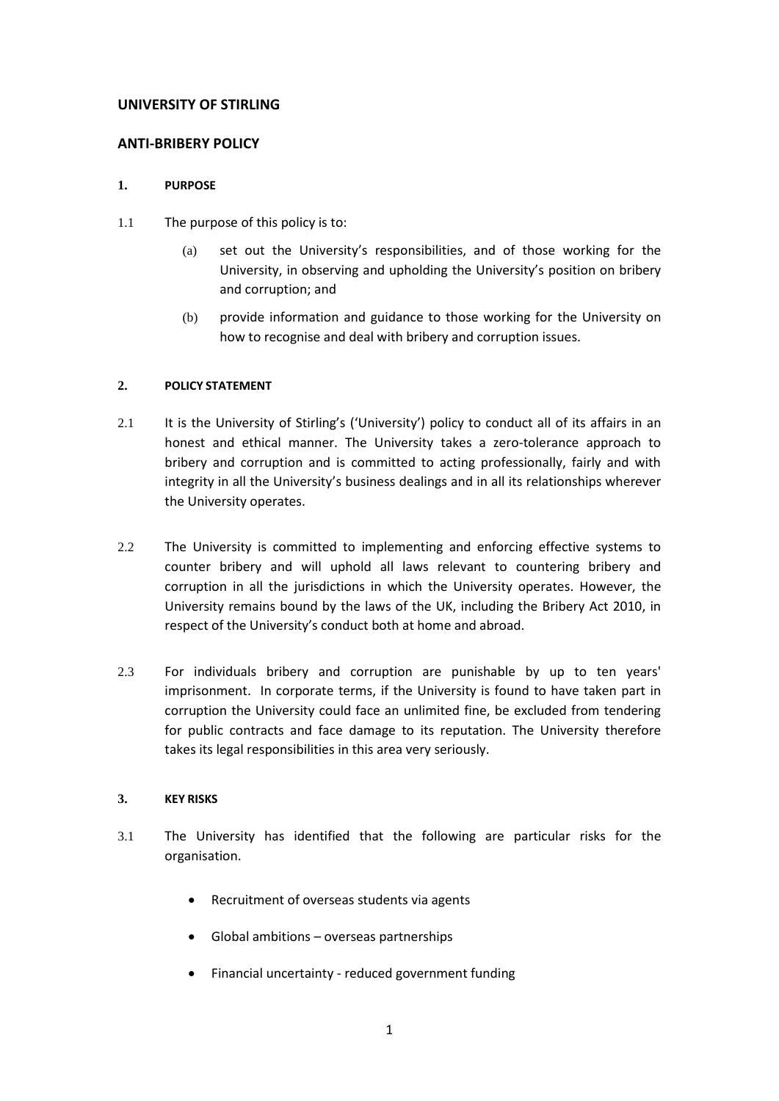## **UNIVERSITY OF STIRLING**

## **ANTI-BRIBERY POLICY**

### **1. PURPOSE**

- 1.1 The purpose of this policy is to:
	- (a) set out the University's responsibilities, and of those working for the University, in observing and upholding the University's position on bribery and corruption; and
	- (b) provide information and guidance to those working for the University on how to recognise and deal with bribery and corruption issues.

## **2. POLICY STATEMENT**

- 2.1 It is the University of Stirling's ('University') policy to conduct all of its affairs in an honest and ethical manner. The University takes a zero-tolerance approach to bribery and corruption and is committed to acting professionally, fairly and with integrity in all the University's business dealings and in all its relationships wherever the University operates.
- 2.2 The University is committed to implementing and enforcing effective systems to counter bribery and will uphold all laws relevant to countering bribery and corruption in all the jurisdictions in which the University operates. However, the University remains bound by the laws of the UK, including the Bribery Act 2010, in respect of the University's conduct both at home and abroad.
- 2.3 For individuals bribery and corruption are punishable by up to ten years' imprisonment. In corporate terms, if the University is found to have taken part in corruption the University could face an unlimited fine, be excluded from tendering for public contracts and face damage to its reputation. The University therefore takes its legal responsibilities in this area very seriously.

## **3. KEY RISKS**

- 3.1 The University has identified that the following are particular risks for the organisation.
	- Recruitment of overseas students via agents
	- Global ambitions overseas partnerships
	- Financial uncertainty reduced government funding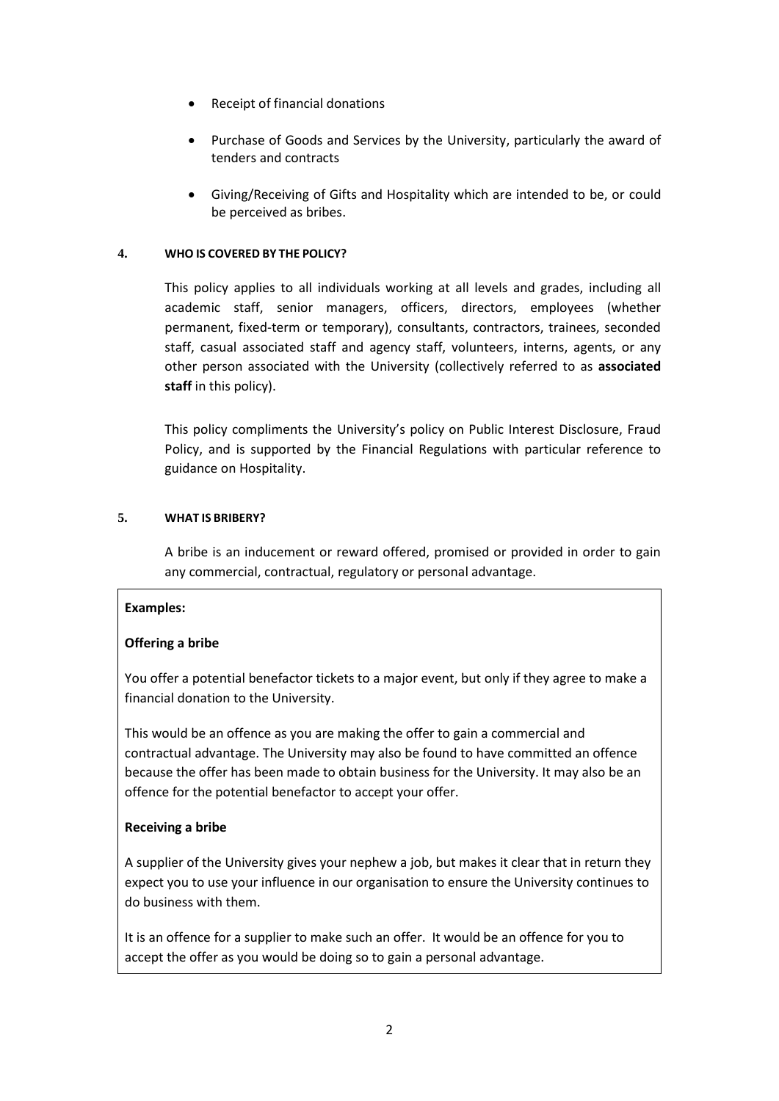- Receipt of financial donations
- Purchase of Goods and Services by the University, particularly the award of tenders and contracts
- Giving/Receiving of Gifts and Hospitality which are intended to be, or could be perceived as bribes.

## **4. WHO IS COVERED BY THE POLICY?**

This policy applies to all individuals working at all levels and grades, including all academic staff, senior managers, officers, directors, employees (whether permanent, fixed-term or temporary), consultants, contractors, trainees, seconded staff, casual associated staff and agency staff, volunteers, interns, agents, or any other person associated with the University (collectively referred to as **associated staff** in this policy).

This policy compliments the University's policy on Public Interest Disclosure, Fraud Policy, and is supported by the Financial Regulations with particular reference to guidance on Hospitality.

## **5. WHAT IS BRIBERY?**

A bribe is an inducement or reward offered, promised or provided in order to gain any commercial, contractual, regulatory or personal advantage.

# **Examples:**

# **Offering a bribe**

You offer a potential benefactor tickets to a major event, but only if they agree to make a financial donation to the University.

This would be an offence as you are making the offer to gain a commercial and contractual advantage. The University may also be found to have committed an offence because the offer has been made to obtain business for the University. It may also be an offence for the potential benefactor to accept your offer.

### **Receiving a bribe**

A supplier of the University gives your nephew a job, but makes it clear that in return they expect you to use your influence in our organisation to ensure the University continues to do business with them.

It is an offence for a supplier to make such an offer. It would be an offence for you to accept the offer as you would be doing so to gain a personal advantage.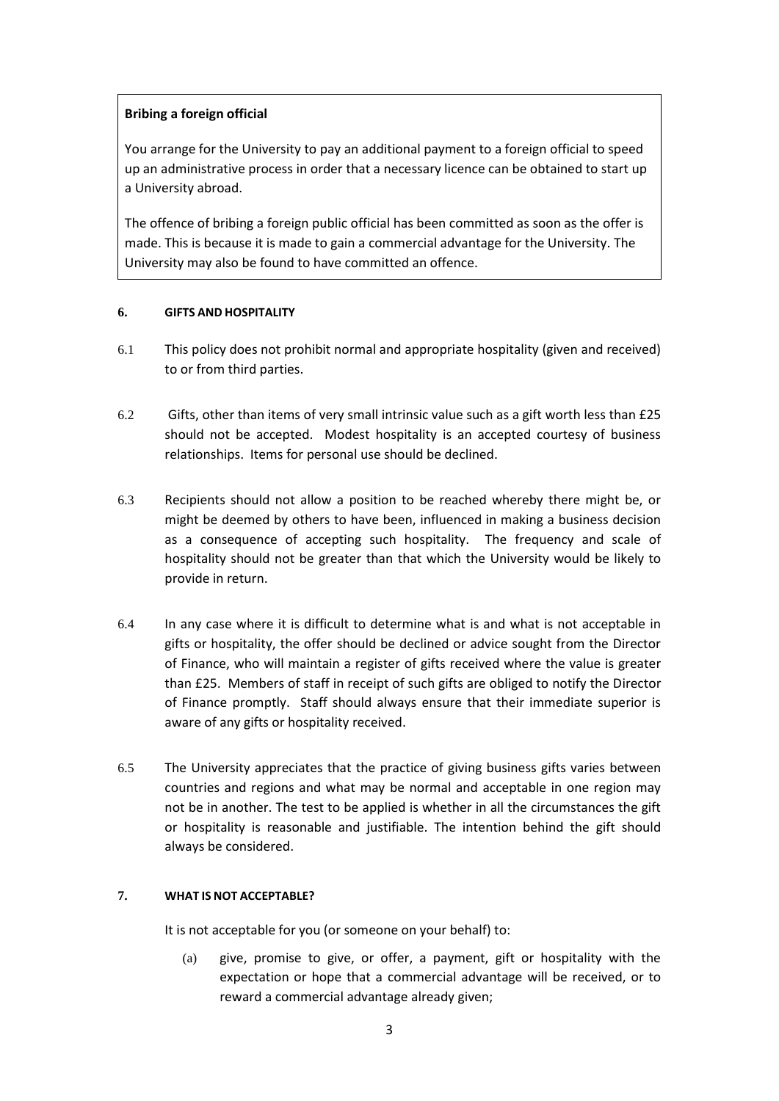# **Bribing a foreign official**

You arrange for the University to pay an additional payment to a foreign official to speed up an administrative process in order that a necessary licence can be obtained to start up a University abroad.

The offence of bribing a foreign public official has been committed as soon as the offer is made. This is because it is made to gain a commercial advantage for the University. The University may also be found to have committed an offence.

#### **6. GIFTS AND HOSPITALITY**

- 6.1 This policy does not prohibit normal and appropriate hospitality (given and received) to or from third parties.
- 6.2 Gifts, other than items of very small intrinsic value such as a gift worth less than £25 should not be accepted. Modest hospitality is an accepted courtesy of business relationships. Items for personal use should be declined.
- 6.3 Recipients should not allow a position to be reached whereby there might be, or might be deemed by others to have been, influenced in making a business decision as a consequence of accepting such hospitality. The frequency and scale of hospitality should not be greater than that which the University would be likely to provide in return.
- 6.4 In any case where it is difficult to determine what is and what is not acceptable in gifts or hospitality, the offer should be declined or advice sought from the Director of Finance, who will maintain a register of gifts received where the value is greater than £25. Members of staff in receipt of such gifts are obliged to notify the Director of Finance promptly. Staff should always ensure that their immediate superior is aware of any gifts or hospitality received.
- 6.5 The University appreciates that the practice of giving business gifts varies between countries and regions and what may be normal and acceptable in one region may not be in another. The test to be applied is whether in all the circumstances the gift or hospitality is reasonable and justifiable. The intention behind the gift should always be considered.

### **7. WHAT IS NOT ACCEPTABLE?**

It is not acceptable for you (or someone on your behalf) to:

(a) give, promise to give, or offer, a payment, gift or hospitality with the expectation or hope that a commercial advantage will be received, or to reward a commercial advantage already given;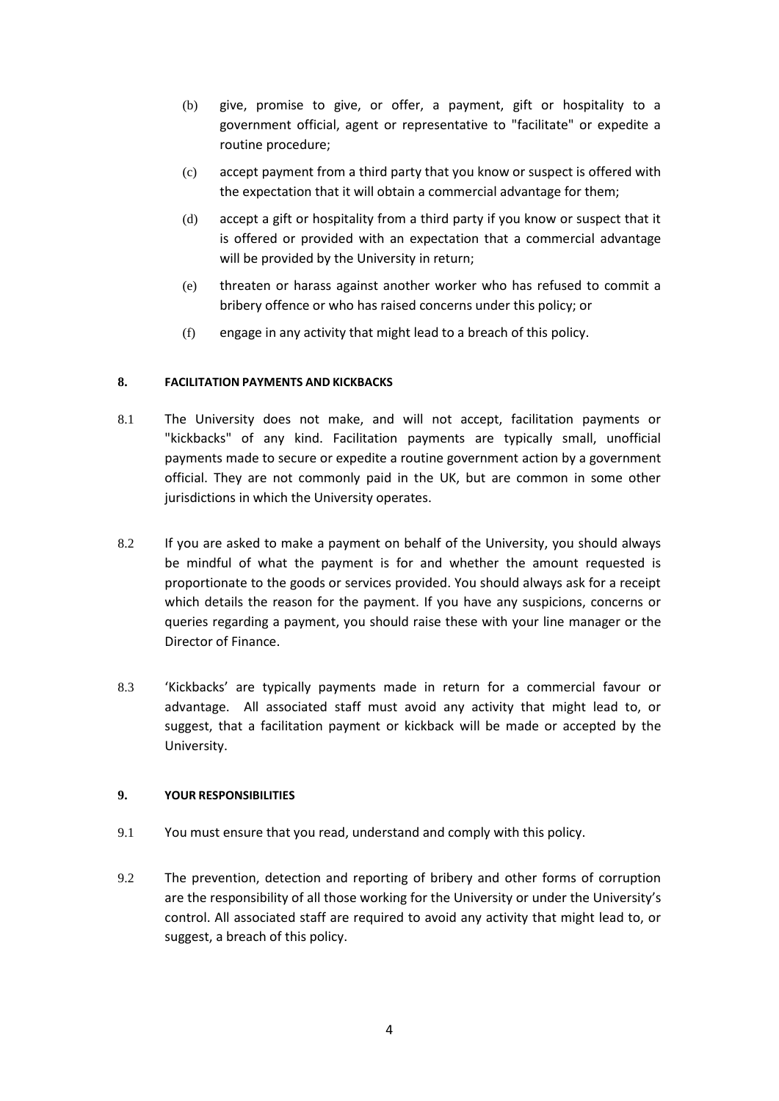- (b) give, promise to give, or offer, a payment, gift or hospitality to a government official, agent or representative to "facilitate" or expedite a routine procedure;
- (c) accept payment from a third party that you know or suspect is offered with the expectation that it will obtain a commercial advantage for them;
- (d) accept a gift or hospitality from a third party if you know or suspect that it is offered or provided with an expectation that a commercial advantage will be provided by the University in return;
- (e) threaten or harass against another worker who has refused to commit a bribery offence or who has raised concerns under this policy; or
- (f) engage in any activity that might lead to a breach of this policy.

## **8. FACILITATION PAYMENTS AND KICKBACKS**

- 8.1 The University does not make, and will not accept, facilitation payments or "kickbacks" of any kind. Facilitation payments are typically small, unofficial payments made to secure or expedite a routine government action by a government official. They are not commonly paid in the UK, but are common in some other jurisdictions in which the University operates.
- 8.2 If you are asked to make a payment on behalf of the University, you should always be mindful of what the payment is for and whether the amount requested is proportionate to the goods or services provided. You should always ask for a receipt which details the reason for the payment. If you have any suspicions, concerns or queries regarding a payment, you should raise these with your line manager or the Director of Finance.
- 8.3 'Kickbacks' are typically payments made in return for a commercial favour or advantage. All associated staff must avoid any activity that might lead to, or suggest, that a facilitation payment or kickback will be made or accepted by the University.

### **9. YOUR RESPONSIBILITIES**

- 9.1 You must ensure that you read, understand and comply with this policy.
- 9.2 The prevention, detection and reporting of bribery and other forms of corruption are the responsibility of all those working for the University or under the University's control. All associated staff are required to avoid any activity that might lead to, or suggest, a breach of this policy.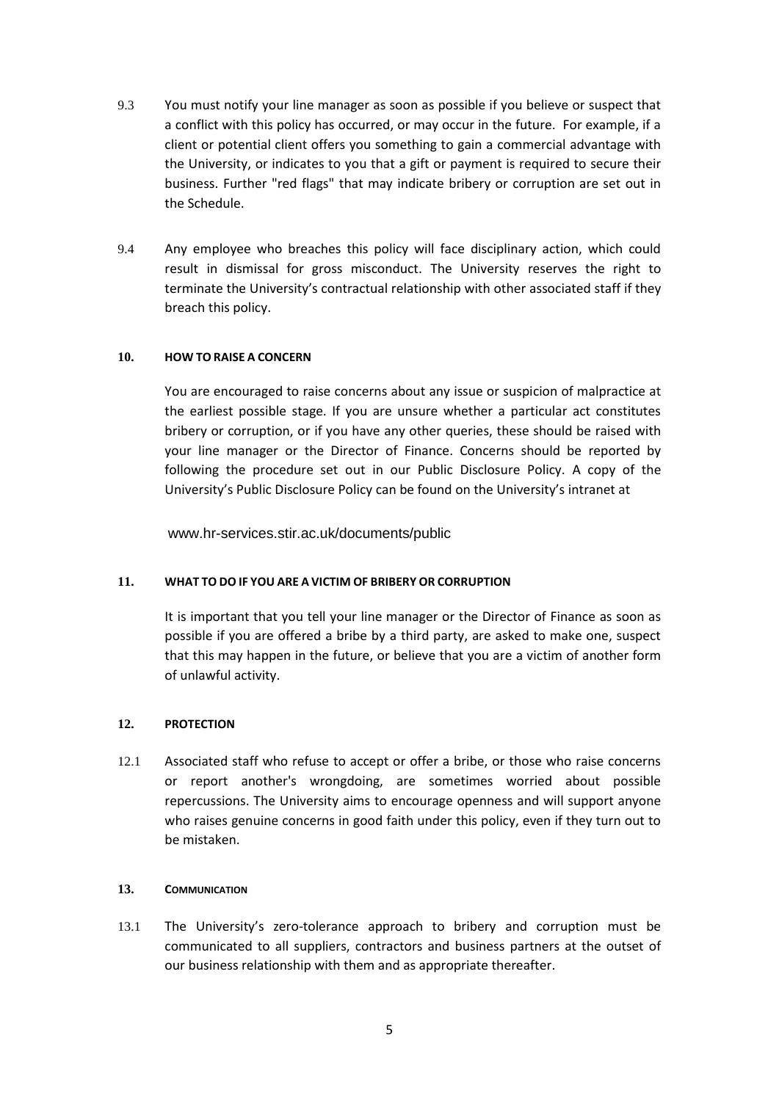- 9.3 You must notify your line manager as soon as possible if you believe or suspect that a conflict with this policy has occurred, or may occur in the future. For example, if a client or potential client offers you something to gain a commercial advantage with the University, or indicates to you that a gift or payment is required to secure their business. Further "red flags" that may indicate bribery or corruption are set out in th[e Schedule.](#page-6-0)
- 9.4 Any employee who breaches this policy will face disciplinary action, which could result in dismissal for gross misconduct. The University reserves the right to terminate the University's contractual relationship with other associated staff if they breach this policy.

### **10. HOW TO RAISE A CONCERN**

You are encouraged to raise concerns about any issue or suspicion of malpractice at the earliest possible stage. If you are unsure whether a particular act constitutes bribery or corruption, or if you have any other queries, these should be raised with your line manager or the Director of Finance. Concerns should be reported by following the procedure set out in our Public Disclosure Policy. A copy of the University's Public Disclosure Policy can be found on the University's intranet at

www.hr-services.stir.ac.uk/documents/public

### **11. WHAT TO DO IF YOU ARE A VICTIM OF BRIBERY OR CORRUPTION**

It is important that you tell your line manager or the Director of Finance as soon as possible if you are offered a bribe by a third party, are asked to make one, suspect that this may happen in the future, or believe that you are a victim of another form of unlawful activity.

### **12. PROTECTION**

12.1 Associated staff who refuse to accept or offer a bribe, or those who raise concerns or report another's wrongdoing, are sometimes worried about possible repercussions. The University aims to encourage openness and will support anyone who raises genuine concerns in good faith under this policy, even if they turn out to be mistaken.

### **13. COMMUNICATION**

13.1 The University's zero-tolerance approach to bribery and corruption must be communicated to all suppliers, contractors and business partners at the outset of our business relationship with them and as appropriate thereafter.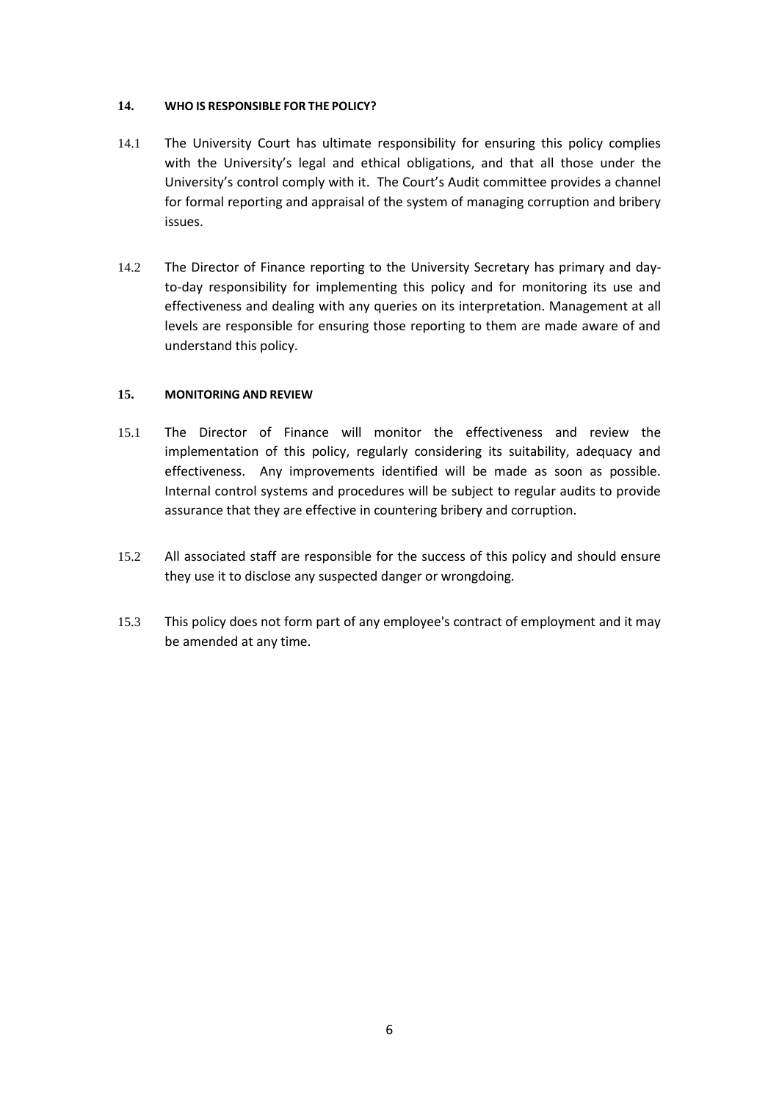### **14. WHO IS RESPONSIBLE FOR THE POLICY?**

- 14.1 The University Court has ultimate responsibility for ensuring this policy complies with the University's legal and ethical obligations, and that all those under the University's control comply with it. The Court's Audit committee provides a channel for formal reporting and appraisal of the system of managing corruption and bribery issues.
- 14.2 The Director of Finance reporting to the University Secretary has primary and dayto-day responsibility for implementing this policy and for monitoring its use and effectiveness and dealing with any queries on its interpretation. Management at all levels are responsible for ensuring those reporting to them are made aware of and understand this policy.

## **15. MONITORING AND REVIEW**

- 15.1 The Director of Finance will monitor the effectiveness and review the implementation of this policy, regularly considering its suitability, adequacy and effectiveness. Any improvements identified will be made as soon as possible. Internal control systems and procedures will be subject to regular audits to provide assurance that they are effective in countering bribery and corruption.
- 15.2 All associated staff are responsible for the success of this policy and should ensure they use it to disclose any suspected danger or wrongdoing.
- 15.3 This policy does not form part of any employee's contract of employment and it may be amended at any time.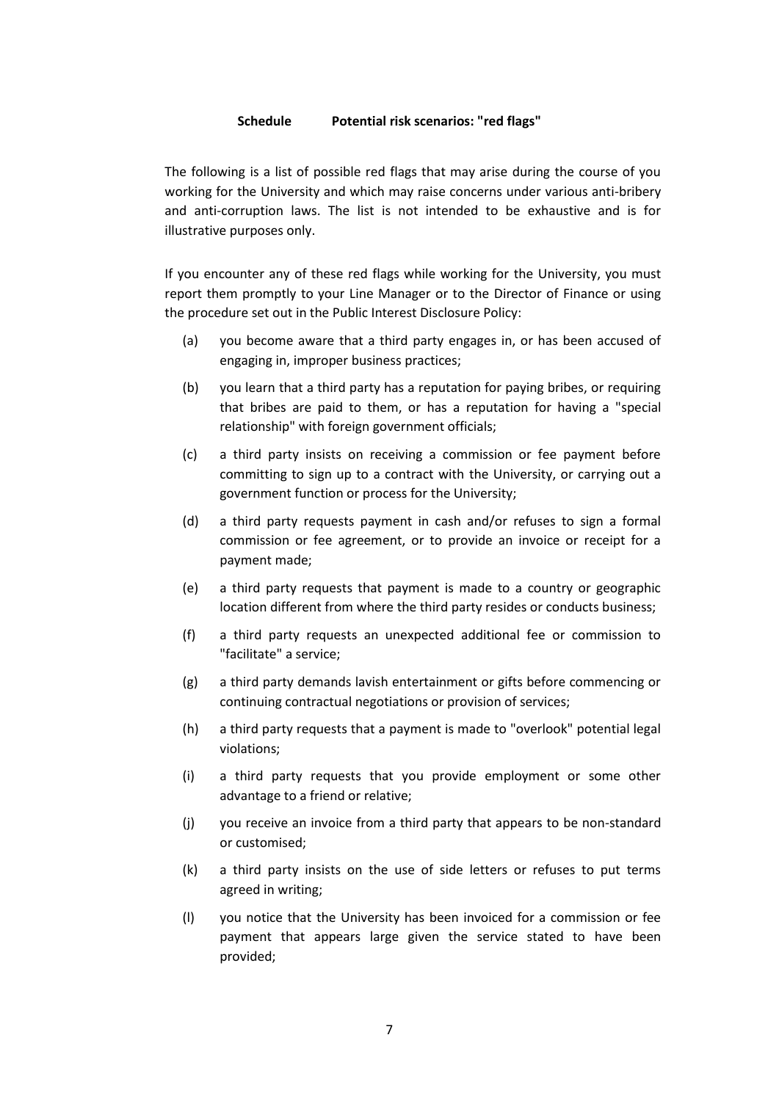#### **Schedule Potential risk scenarios: "red flags"**

<span id="page-6-0"></span>The following is a list of possible red flags that may arise during the course of you working for the University and which may raise concerns under various anti-bribery and anti-corruption laws. The list is not intended to be exhaustive and is for illustrative purposes only.

If you encounter any of these red flags while working for the University, you must report them promptly to your Line Manager or to the Director of Finance or using the procedure set out in the Public Interest Disclosure Policy:

- (a) you become aware that a third party engages in, or has been accused of engaging in, improper business practices;
- (b) you learn that a third party has a reputation for paying bribes, or requiring that bribes are paid to them, or has a reputation for having a "special relationship" with foreign government officials;
- (c) a third party insists on receiving a commission or fee payment before committing to sign up to a contract with the University, or carrying out a government function or process for the University;
- (d) a third party requests payment in cash and/or refuses to sign a formal commission or fee agreement, or to provide an invoice or receipt for a payment made;
- (e) a third party requests that payment is made to a country or geographic location different from where the third party resides or conducts business;
- (f) a third party requests an unexpected additional fee or commission to "facilitate" a service;
- (g) a third party demands lavish entertainment or gifts before commencing or continuing contractual negotiations or provision of services;
- (h) a third party requests that a payment is made to "overlook" potential legal violations;
- (i) a third party requests that you provide employment or some other advantage to a friend or relative;
- (j) you receive an invoice from a third party that appears to be non-standard or customised;
- (k) a third party insists on the use of side letters or refuses to put terms agreed in writing;
- (l) you notice that the University has been invoiced for a commission or fee payment that appears large given the service stated to have been provided;